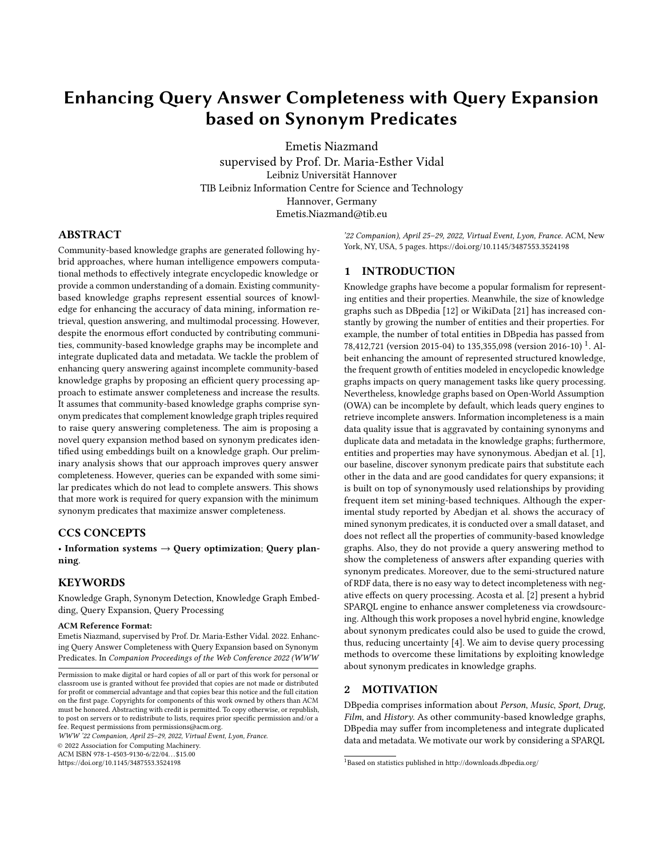# Enhancing Query Answer Completeness with Query Expansion based on Synonym Predicates

[Emetis Niazmand](https://orcid.org/0000-0001-8194-8079) [supervised by Prof. Dr. Maria-Esther Vidal](https://orcid.org/0000-0001-8194-8079) Leibniz Universität Hannover TIB Leibniz Information Centre for Science and Technology Hannover, Germany Emetis.Niazmand@tib.eu

## ABSTRACT

Community-based knowledge graphs are generated following hybrid approaches, where human intelligence empowers computational methods to effectively integrate encyclopedic knowledge or provide a common understanding of a domain. Existing communitybased knowledge graphs represent essential sources of knowledge for enhancing the accuracy of data mining, information retrieval, question answering, and multimodal processing. However, despite the enormous effort conducted by contributing communities, community-based knowledge graphs may be incomplete and integrate duplicated data and metadata. We tackle the problem of enhancing query answering against incomplete community-based knowledge graphs by proposing an efficient query processing approach to estimate answer completeness and increase the results. It assumes that community-based knowledge graphs comprise synonym predicates that complement knowledge graph triples required to raise query answering completeness. The aim is proposing a novel query expansion method based on synonym predicates identified using embeddings built on a knowledge graph. Our preliminary analysis shows that our approach improves query answer completeness. However, queries can be expanded with some similar predicates which do not lead to complete answers. This shows that more work is required for query expansion with the minimum synonym predicates that maximize answer completeness.

#### CCS CONCEPTS

• Information systems  $\rightarrow$  Query optimization; Query planning.

## **KEYWORDS**

Knowledge Graph, Synonym Detection, Knowledge Graph Embedding, Query Expansion, Query Processing

#### ACM Reference Format:

Emetis Niazmand, supervised by Prof. Dr. Maria-Esther Vidal. 2022. Enhancing Query Answer Completeness with Query Expansion based on Synonym Predicates. In Companion Proceedings of the Web Conference 2022 (WWW

WWW '22 Companion, April 25–29, 2022, Virtual Event, Lyon, France.

© 2022 Association for Computing Machinery.

ACM ISBN 978-1-4503-9130-6/22/04. . . \$15.00

<https://doi.org/10.1145/3487553.3524198>

'22 Companion), April 25–29, 2022, Virtual Event, Lyon, France. ACM, New York, NY, USA, [5](#page-4-0) pages.<https://doi.org/10.1145/3487553.3524198>

#### 1 INTRODUCTION

Knowledge graphs have become a popular formalism for representing entities and their properties. Meanwhile, the size of knowledge graphs such as DBpedia [\[12\]](#page-4-1) or WikiData [\[21\]](#page-4-2) has increased constantly by growing the number of entities and their properties. For example, the number of total entities in DBpedia has passed from 78,4[1](#page-0-0)2,721 (version 2015-04) to 135,355,098 (version 2016-10)<sup>1</sup>. Albeit enhancing the amount of represented structured knowledge, the frequent growth of entities modeled in encyclopedic knowledge graphs impacts on query management tasks like query processing. Nevertheless, knowledge graphs based on Open-World Assumption (OWA) can be incomplete by default, which leads query engines to retrieve incomplete answers. Information incompleteness is a main data quality issue that is aggravated by containing synonyms and duplicate data and metadata in the knowledge graphs; furthermore, entities and properties may have synonymous. Abedjan et al. [\[1\]](#page-4-3), our baseline, discover synonym predicate pairs that substitute each other in the data and are good candidates for query expansions; it is built on top of synonymously used relationships by providing frequent item set mining-based techniques. Although the experimental study reported by Abedjan et al. shows the accuracy of mined synonym predicates, it is conducted over a small dataset, and does not reflect all the properties of community-based knowledge graphs. Also, they do not provide a query answering method to show the completeness of answers after expanding queries with synonym predicates. Moreover, due to the semi-structured nature of RDF data, there is no easy way to detect incompleteness with negative effects on query processing. Acosta et al. [\[2\]](#page-4-4) present a hybrid SPARQL engine to enhance answer completeness via crowdsourcing. Although this work proposes a novel hybrid engine, knowledge about synonym predicates could also be used to guide the crowd, thus, reducing uncertainty [\[4\]](#page-4-5). We aim to devise query processing methods to overcome these limitations by exploiting knowledge about synonym predicates in knowledge graphs.

#### 2 MOTIVATION

DBpedia comprises information about Person, Music, Sport, Drug, Film, and History. As other community-based knowledge graphs, DBpedia may suffer from incompleteness and integrate duplicated data and metadata. We motivate our work by considering a SPARQL

Permission to make digital or hard copies of all or part of this work for personal or classroom use is granted without fee provided that copies are not made or distributed for profit or commercial advantage and that copies bear this notice and the full citation on the first page. Copyrights for components of this work owned by others than ACM must be honored. Abstracting with credit is permitted. To copy otherwise, or republish, to post on servers or to redistribute to lists, requires prior specific permission and/or a fee. Request permissions from permissions@acm.org.

<span id="page-0-0"></span><sup>1</sup>Based on statistics published in<http://downloads.dbpedia.org/>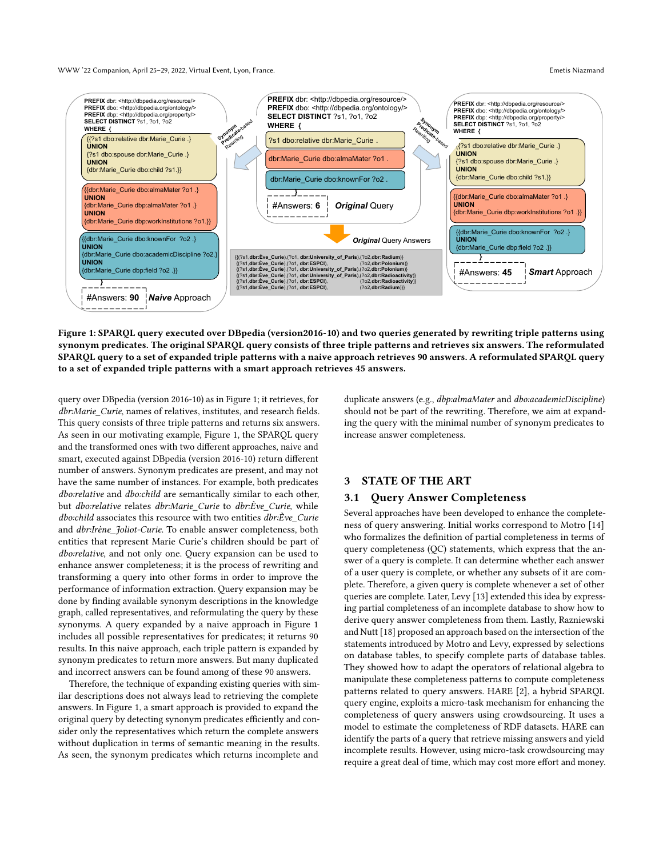WWW '22 Companion, April 25–29, 2022, Virtual Event, Lyon, France. Emetis Niazmand

<span id="page-1-0"></span>

Figure 1: SPARQL query executed over DBpedia (version2016-10) and two queries generated by rewriting triple patterns using synonym predicates. The original SPARQL query consists of three triple patterns and retrieves six answers. The reformulated SPARQL query to a set of expanded triple patterns with a naive approach retrieves 90 answers. A reformulated SPARQL query to a set of expanded triple patterns with a smart approach retrieves 45 answers.

query over DBpedia (version 2016-10) as in [Figure 1;](#page-1-0) it retrieves, for dbr:Marie\_Curie, names of relatives, institutes, and research fields. This query consists of three triple patterns and returns six answers. As seen in our motivating example, [Figure 1,](#page-1-0) the SPARQL query and the transformed ones with two different approaches, naive and smart, executed against DBpedia (version 2016-10) return different number of answers. Synonym predicates are present, and may not have the same number of instances. For example, both predicates dbo:relative and dbo:child are semantically similar to each other, but dbo:relative relates dbr:Marie Curie to dbr:Ève Curie, while dbo:child associates this resource with two entities dbr:Ève\_Curie and dbr:Irène\_Joliot-Curie. To enable answer completeness, both entities that represent Marie Curie's children should be part of dbo:relative, and not only one. Query expansion can be used to enhance answer completeness; it is the process of rewriting and transforming a query into other forms in order to improve the performance of information extraction. Query expansion may be done by finding available synonym descriptions in the knowledge graph, called representatives, and reformulating the query by these synonyms. A query expanded by a naive approach in [Figure 1](#page-1-0) includes all possible representatives for predicates; it returns 90 results. In this naive approach, each triple pattern is expanded by synonym predicates to return more answers. But many duplicated and incorrect answers can be found among of these 90 answers.

Therefore, the technique of expanding existing queries with similar descriptions does not always lead to retrieving the complete answers. In [Figure 1,](#page-1-0) a smart approach is provided to expand the original query by detecting synonym predicates efficiently and consider only the representatives which return the complete answers without duplication in terms of semantic meaning in the results. As seen, the synonym predicates which returns incomplete and

duplicate answers (e.g., dbp:almaMater and dbo:academicDiscipline) should not be part of the rewriting. Therefore, we aim at expanding the query with the minimal number of synonym predicates to increase answer completeness.

#### 3 STATE OF THE ART

#### 3.1 Query Answer Completeness

Several approaches have been developed to enhance the completeness of query answering. Initial works correspond to Motro [\[14\]](#page-4-6) who formalizes the definition of partial completeness in terms of query completeness (QC) statements, which express that the answer of a query is complete. It can determine whether each answer of a user query is complete, or whether any subsets of it are complete. Therefore, a given query is complete whenever a set of other queries are complete. Later, Levy [\[13\]](#page-4-7) extended this idea by expressing partial completeness of an incomplete database to show how to derive query answer completeness from them. Lastly, Razniewski and Nutt [\[18\]](#page-4-8) proposed an approach based on the intersection of the statements introduced by Motro and Levy, expressed by selections on database tables, to specify complete parts of database tables. They showed how to adapt the operators of relational algebra to manipulate these completeness patterns to compute completeness patterns related to query answers. HARE [\[2\]](#page-4-4), a hybrid SPARQL query engine, exploits a micro-task mechanism for enhancing the completeness of query answers using crowdsourcing. It uses a model to estimate the completeness of RDF datasets. HARE can identify the parts of a query that retrieve missing answers and yield incomplete results. However, using micro-task crowdsourcing may require a great deal of time, which may cost more effort and money.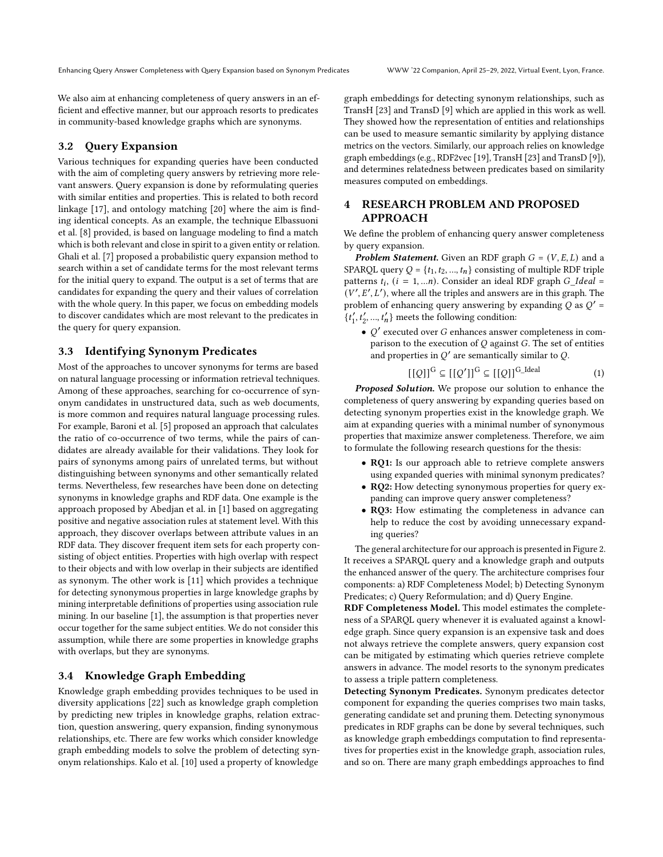We also aim at enhancing completeness of query answers in an efficient and effective manner, but our approach resorts to predicates in community-based knowledge graphs which are synonyms.

## 3.2 Query Expansion

Various techniques for expanding queries have been conducted with the aim of completing query answers by retrieving more relevant answers. Query expansion is done by reformulating queries with similar entities and properties. This is related to both record linkage [\[17\]](#page-4-9), and ontology matching [\[20\]](#page-4-10) where the aim is finding identical concepts. As an example, the technique Elbassuoni et al. [\[8\]](#page-4-11) provided, is based on language modeling to find a match which is both relevant and close in spirit to a given entity or relation. Ghali et al. [\[7\]](#page-4-12) proposed a probabilistic query expansion method to search within a set of candidate terms for the most relevant terms for the initial query to expand. The output is a set of terms that are candidates for expanding the query and their values of correlation with the whole query. In this paper, we focus on embedding models to discover candidates which are most relevant to the predicates in the query for query expansion.

## 3.3 Identifying Synonym Predicates

Most of the approaches to uncover synonyms for terms are based on natural language processing or information retrieval techniques. Among of these approaches, searching for co-occurrence of synonym candidates in unstructured data, such as web documents, is more common and requires natural language processing rules. For example, Baroni et al. [\[5\]](#page-4-13) proposed an approach that calculates the ratio of co-occurrence of two terms, while the pairs of candidates are already available for their validations. They look for pairs of synonyms among pairs of unrelated terms, but without distinguishing between synonyms and other semantically related terms. Nevertheless, few researches have been done on detecting synonyms in knowledge graphs and RDF data. One example is the approach proposed by Abedjan et al. in [\[1\]](#page-4-3) based on aggregating positive and negative association rules at statement level. With this approach, they discover overlaps between attribute values in an RDF data. They discover frequent item sets for each property consisting of object entities. Properties with high overlap with respect to their objects and with low overlap in their subjects are identified as synonym. The other work is [\[11\]](#page-4-14) which provides a technique for detecting synonymous properties in large knowledge graphs by mining interpretable definitions of properties using association rule mining. In our baseline [\[1\]](#page-4-3), the assumption is that properties never occur together for the same subject entities. We do not consider this assumption, while there are some properties in knowledge graphs with overlaps, but they are synonyms.

#### 3.4 Knowledge Graph Embedding

Knowledge graph embedding provides techniques to be used in diversity applications [\[22\]](#page-4-15) such as knowledge graph completion by predicting new triples in knowledge graphs, relation extraction, question answering, query expansion, finding synonymous relationships, etc. There are few works which consider knowledge graph embedding models to solve the problem of detecting synonym relationships. Kalo et al. [\[10\]](#page-4-16) used a property of knowledge

graph embeddings for detecting synonym relationships, such as TransH [\[23\]](#page-4-17) and TransD [\[9\]](#page-4-18) which are applied in this work as well. They showed how the representation of entities and relationships can be used to measure semantic similarity by applying distance metrics on the vectors. Similarly, our approach relies on knowledge graph embeddings (e.g., RDF2vec [\[19\]](#page-4-19), TransH [\[23\]](#page-4-17) and TransD [\[9\]](#page-4-18)), and determines relatedness between predicates based on similarity measures computed on embeddings.

## 4 RESEARCH PROBLEM AND PROPOSED APPROACH

We define the problem of enhancing query answer completeness by query expansion.

**Problem Statement.** Given an RDF graph  $G = (V, E, L)$  and a SPARQL query  $Q = \{t_1, t_2, ..., t_n\}$  consisting of multiple RDF triple patterns  $t_i$ ,  $(i = 1, ...n)$ . Consider an ideal RDF graph  $G\_Ideal =$  $(V', E', L')$ , where all the triples and answers are in this graph. The problem of enhancing query answering by expanding  $Q$  as  $Q'$  =  $\{t_1', t_2', ..., t_n'\}$  meets the following condition:

 $\bullet$  Q' executed over G enhances answer completeness in comparison to the execution of  $Q$  against  $G$ . The set of entities and properties in  $Q'$  are semantically similar to  $Q$ .

$$
[[Q]]^{G} \subseteq [[Q']]^{G} \subseteq [[Q]]^{G\_Ideal} \tag{1}
$$

Proposed Solution. We propose our solution to enhance the completeness of query answering by expanding queries based on detecting synonym properties exist in the knowledge graph. We aim at expanding queries with a minimal number of synonymous properties that maximize answer completeness. Therefore, we aim to formulate the following research questions for the thesis:

- RQ1: Is our approach able to retrieve complete answers using expanded queries with minimal synonym predicates?
- RQ2: How detecting synonymous properties for query expanding can improve query answer completeness?
- RQ3: How estimating the completeness in advance can help to reduce the cost by avoiding unnecessary expanding queries?

The general architecture for our approach is presented in [Figure 2.](#page-3-0) It receives a SPARQL query and a knowledge graph and outputs the enhanced answer of the query. The architecture comprises four components: a) RDF Completeness Model; b) Detecting Synonym Predicates; c) Query Reformulation; and d) Query Engine.

RDF Completeness Model. This model estimates the completeness of a SPARQL query whenever it is evaluated against a knowledge graph. Since query expansion is an expensive task and does not always retrieve the complete answers, query expansion cost can be mitigated by estimating which queries retrieve complete answers in advance. The model resorts to the synonym predicates to assess a triple pattern completeness.

Detecting Synonym Predicates. Synonym predicates detector component for expanding the queries comprises two main tasks, generating candidate set and pruning them. Detecting synonymous predicates in RDF graphs can be done by several techniques, such as knowledge graph embeddings computation to find representatives for properties exist in the knowledge graph, association rules, and so on. There are many graph embeddings approaches to find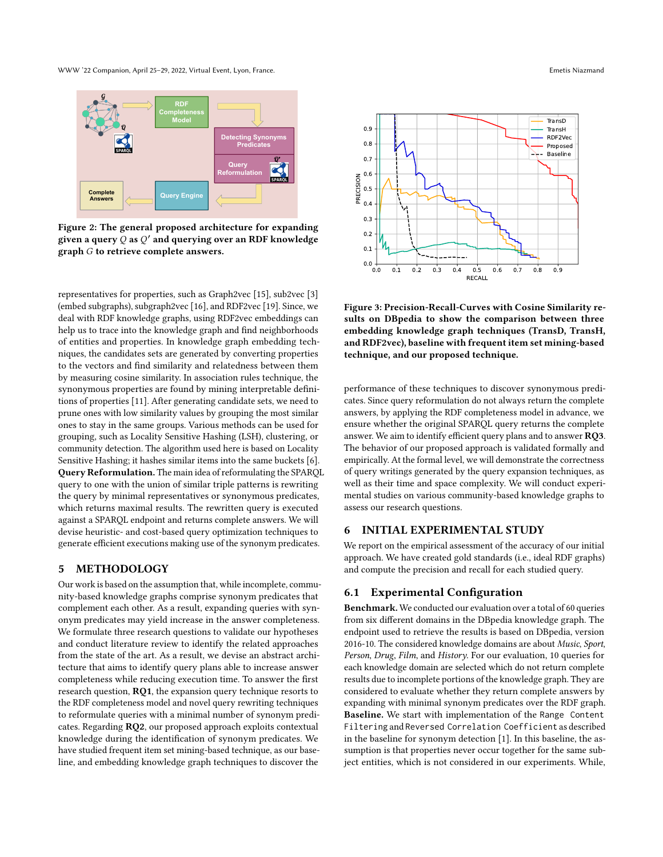WWW '22 Companion, April 25–29, 2022, Virtual Event, Lyon, France. Emetis Niazmand

<span id="page-3-0"></span>

Figure 2: The general proposed architecture for expanding given a query  $\bar Q$  as  $Q'$  and querying over an RDF knowledge graph  $G$  to retrieve complete answers.

representatives for properties, such as Graph2vec [\[15\]](#page-4-20), sub2vec [\[3\]](#page-4-21) (embed subgraphs), subgraph2vec [\[16\]](#page-4-22), and RDF2vec [\[19\]](#page-4-19). Since, we deal with RDF knowledge graphs, using RDF2vec embeddings can help us to trace into the knowledge graph and find neighborhoods of entities and properties. In knowledge graph embedding techniques, the candidates sets are generated by converting properties to the vectors and find similarity and relatedness between them by measuring cosine similarity. In association rules technique, the synonymous properties are found by mining interpretable definitions of properties [\[11\]](#page-4-14). After generating candidate sets, we need to prune ones with low similarity values by grouping the most similar ones to stay in the same groups. Various methods can be used for grouping, such as Locality Sensitive Hashing (LSH), clustering, or community detection. The algorithm used here is based on Locality Sensitive Hashing; it hashes similar items into the same buckets [\[6\]](#page-4-23). Query Reformulation. The main idea of reformulating the SPARQL query to one with the union of similar triple patterns is rewriting the query by minimal representatives or synonymous predicates, which returns maximal results. The rewritten query is executed against a SPARQL endpoint and returns complete answers. We will devise heuristic- and cost-based query optimization techniques to generate efficient executions making use of the synonym predicates.

#### 5 METHODOLOGY

Our work is based on the assumption that, while incomplete, community-based knowledge graphs comprise synonym predicates that complement each other. As a result, expanding queries with synonym predicates may yield increase in the answer completeness. We formulate three research questions to validate our hypotheses and conduct literature review to identify the related approaches from the state of the art. As a result, we devise an abstract architecture that aims to identify query plans able to increase answer completeness while reducing execution time. To answer the first research question, RQ1, the expansion query technique resorts to the RDF completeness model and novel query rewriting techniques to reformulate queries with a minimal number of synonym predicates. Regarding RQ2, our proposed approach exploits contextual knowledge during the identification of synonym predicates. We have studied frequent item set mining-based technique, as our baseline, and embedding knowledge graph techniques to discover the

<span id="page-3-1"></span>0.0 0.1 0.2 0.3 0.4 0.5 0.6 0.7 0.8 0.9 RECALL  $0.0 + 0.0$ 0.1 0.2 0.3 0.4  $0.5 -$ NO 0.6<br>DISIONS<br>PRECIS 0.7 0.8 0.9 TransD TransH RDF2Vec Proposed  $\rightarrow$  - Baseline

Figure 3: Precision-Recall-Curves with Cosine Similarity results on DBpedia to show the comparison between three embedding knowledge graph techniques (TransD, TransH, and RDF2vec), baseline with frequent item set mining-based technique, and our proposed technique.

performance of these techniques to discover synonymous predicates. Since query reformulation do not always return the complete answers, by applying the RDF completeness model in advance, we ensure whether the original SPARQL query returns the complete answer. We aim to identify efficient query plans and to answer RQ3. The behavior of our proposed approach is validated formally and empirically. At the formal level, we will demonstrate the correctness of query writings generated by the query expansion techniques, as well as their time and space complexity. We will conduct experimental studies on various community-based knowledge graphs to assess our research questions.

## 6 INITIAL EXPERIMENTAL STUDY

We report on the empirical assessment of the accuracy of our initial approach. We have created gold standards (i.e., ideal RDF graphs) and compute the precision and recall for each studied query.

#### 6.1 Experimental Configuration

Benchmark. We conducted our evaluation over a total of 60 queries from six different domains in the DBpedia knowledge graph. The endpoint used to retrieve the results is based on DBpedia, version 2016-10. The considered knowledge domains are about Music, Sport, Person, Drug, Film, and History. For our evaluation, 10 queries for each knowledge domain are selected which do not return complete results due to incomplete portions of the knowledge graph. They are considered to evaluate whether they return complete answers by expanding with minimal synonym predicates over the RDF graph. Baseline. We start with implementation of the Range Content Filtering and Reversed Correlation Coefficient as described in the baseline for synonym detection [\[1\]](#page-4-3). In this baseline, the assumption is that properties never occur together for the same subject entities, which is not considered in our experiments. While,